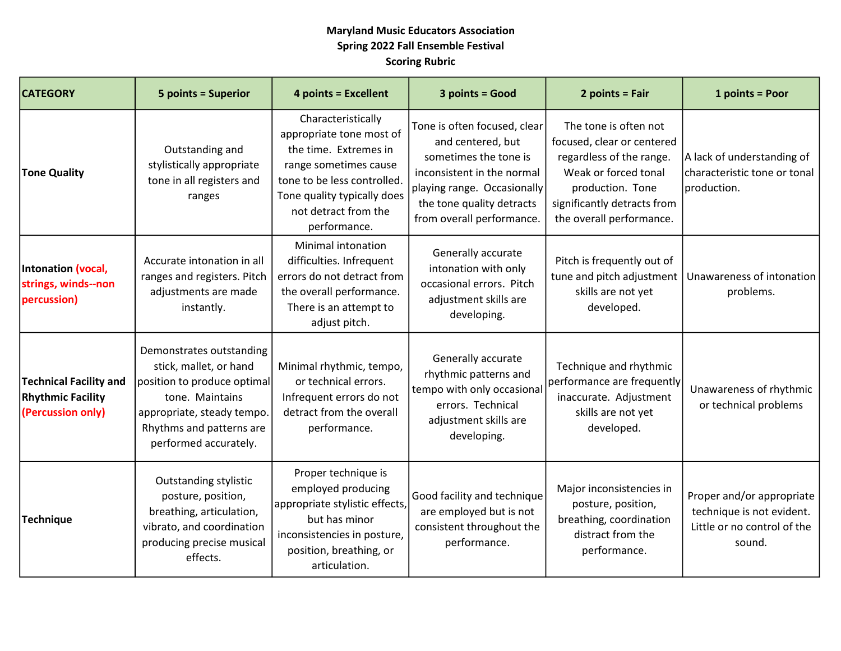## Maryland Music Educators Association Spring 2022 Fall Ensemble Festival Scoring Rubric

| <b>CATEGORY</b>                                                                | <b>5 points = Superior</b>                                                                                                                                                              | <b>4 points = Excellent</b>                                                                                                                                                                            | 3 points = Good                                                                                                                                                                                   | $2 points = Fair$                                                                                                                                                                      | 1 points = Poor                                                                                 |
|--------------------------------------------------------------------------------|-----------------------------------------------------------------------------------------------------------------------------------------------------------------------------------------|--------------------------------------------------------------------------------------------------------------------------------------------------------------------------------------------------------|---------------------------------------------------------------------------------------------------------------------------------------------------------------------------------------------------|----------------------------------------------------------------------------------------------------------------------------------------------------------------------------------------|-------------------------------------------------------------------------------------------------|
| <b>Tone Quality</b>                                                            | Outstanding and<br>stylistically appropriate<br>tone in all registers and<br>ranges                                                                                                     | Characteristically<br>appropriate tone most of<br>the time. Extremes in<br>range sometimes cause<br>tone to be less controlled.<br>Tone quality typically does<br>not detract from the<br>performance. | Tone is often focused, clear<br>and centered, but<br>sometimes the tone is<br>inconsistent in the normal<br>playing range. Occasionally<br>the tone quality detracts<br>from overall performance. | The tone is often not<br>focused, clear or centered<br>regardless of the range.<br>Weak or forced tonal<br>production. Tone<br>significantly detracts from<br>the overall performance. | A lack of understanding of<br>characteristic tone or tonal<br>production.                       |
| Intonation (vocal,<br>strings, winds--non<br>percussion)                       | Accurate intonation in all<br>ranges and registers. Pitch<br>adjustments are made<br>instantly.                                                                                         | Minimal intonation<br>difficulties. Infrequent<br>errors do not detract from<br>the overall performance.<br>There is an attempt to<br>adjust pitch.                                                    | Generally accurate<br>intonation with only<br>occasional errors. Pitch<br>adjustment skills are<br>developing.                                                                                    | Pitch is frequently out of<br>tune and pitch adjustment<br>skills are not yet<br>developed.                                                                                            | Unawareness of intonation<br>problems.                                                          |
| <b>Technical Facility and</b><br><b>Rhythmic Facility</b><br>(Percussion only) | Demonstrates outstanding<br>stick, mallet, or hand<br>position to produce optimal<br>tone. Maintains<br>appropriate, steady tempo.<br>Rhythms and patterns are<br>performed accurately. | Minimal rhythmic, tempo,<br>or technical errors.<br>Infrequent errors do not<br>detract from the overall<br>performance.                                                                               | Generally accurate<br>rhythmic patterns and<br>tempo with only occasional<br>errors. Technical<br>adjustment skills are<br>developing.                                                            | Technique and rhythmic<br>performance are frequently<br>inaccurate. Adjustment<br>skills are not yet<br>developed.                                                                     | Unawareness of rhythmic<br>or technical problems                                                |
| <b>Technique</b>                                                               | <b>Outstanding stylistic</b><br>posture, position,<br>breathing, articulation,<br>vibrato, and coordination<br>producing precise musical<br>effects.                                    | Proper technique is<br>employed producing<br>appropriate stylistic effects,<br>but has minor<br>inconsistencies in posture,<br>position, breathing, or<br>articulation.                                | Good facility and technique<br>are employed but is not<br>consistent throughout the<br>performance.                                                                                               | Major inconsistencies in<br>posture, position,<br>breathing, coordination<br>distract from the<br>performance.                                                                         | Proper and/or appropriate<br>technique is not evident.<br>Little or no control of the<br>sound. |